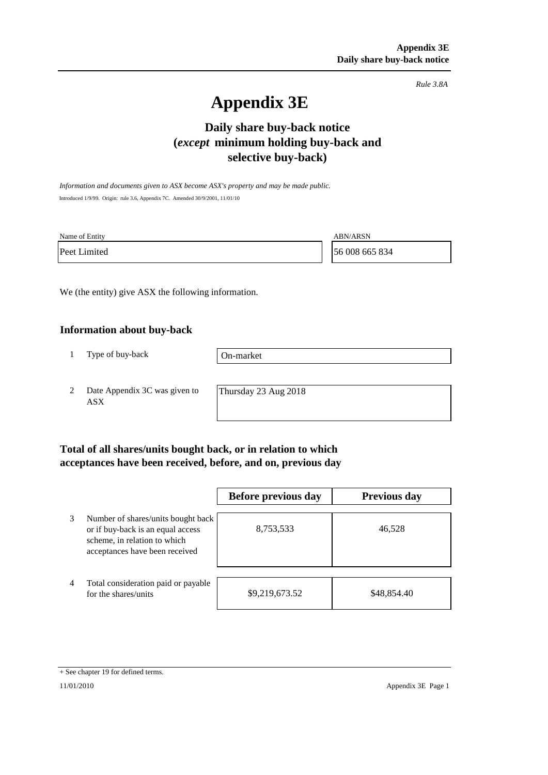*Rule 3.8A*

# **Appendix 3E**

## **Daily share buy-back notice (***except* **minimum holding buy-back and selective buy-back)**

*Information and documents given to ASX become ASX's property and may be made public.* Introduced 1/9/99. Origin: rule 3.6, Appendix 7C. Amended 30/9/2001, 11/01/10

| Name of Entity | <b>ABN/ARSN</b> |
|----------------|-----------------|
| Peet Limited   | 56 008 665 834  |

We (the entity) give ASX the following information.

### **Information about buy-back**

1 Type of buy-back

On-market

2 Date Appendix 3C was given to ASX

Thursday 23 Aug 2018

### **Total of all shares/units bought back, or in relation to which acceptances have been received, before, and on, previous day**

|                |                                                                                                                                           | <b>Before previous day</b> | <b>Previous day</b> |
|----------------|-------------------------------------------------------------------------------------------------------------------------------------------|----------------------------|---------------------|
| 3              | Number of shares/units bought back<br>or if buy-back is an equal access<br>scheme, in relation to which<br>acceptances have been received | 8,753,533                  | 46,528              |
| $\overline{4}$ | Total consideration paid or payable<br>for the shares/units                                                                               | \$9,219,673.52             | \$48,854.40         |

<sup>+</sup> See chapter 19 for defined terms.